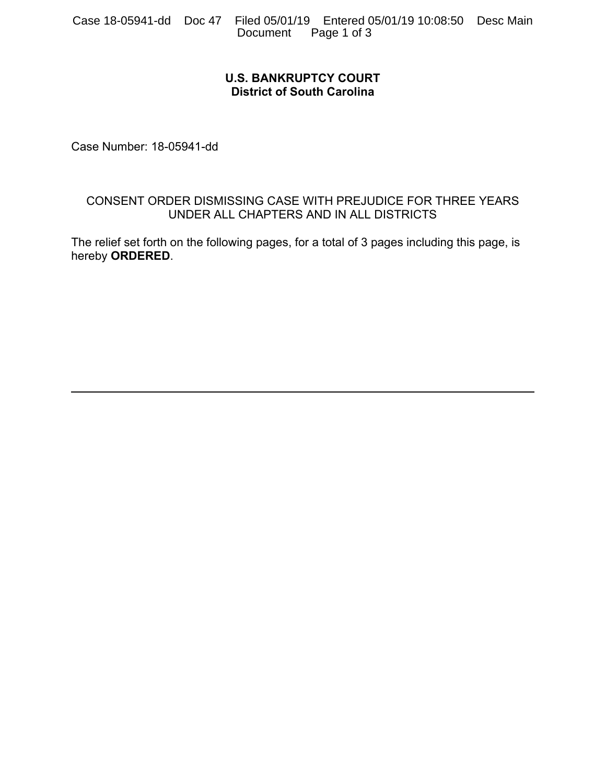## **U.S. BANKRUPTCY COURT District of South Carolina**

Case Number: 18-05941-dd

## CONSENT ORDER DISMISSING CASE WITH PREJUDICE FOR THREE YEARS UNDER ALL CHAPTERS AND IN ALL DISTRICTS

The relief set forth on the following pages, for a total of 3 pages including this page, is hereby **ORDERED**.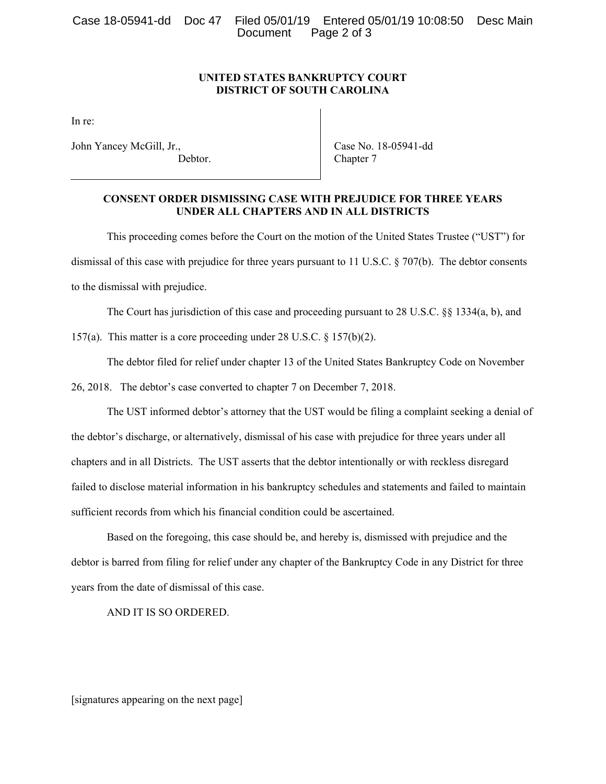Case 18-05941-dd Doc 47 Filed 05/01/19 Entered 05/01/19 10:08:50 Desc Main Page 2 of 3

## **UNITED STATES BANKRUPTCY COURT DISTRICT OF SOUTH CAROLINA**

In re:

John Yancey McGill, Jr., Debtor.  Case No. 18-05941-dd Chapter 7

## **CONSENT ORDER DISMISSING CASE WITH PREJUDICE FOR THREE YEARS UNDER ALL CHAPTERS AND IN ALL DISTRICTS**

 This proceeding comes before the Court on the motion of the United States Trustee ("UST") for dismissal of this case with prejudice for three years pursuant to 11 U.S.C. § 707(b). The debtor consents to the dismissal with prejudice.

The Court has jurisdiction of this case and proceeding pursuant to 28 U.S.C. §§ 1334(a, b), and

157(a). This matter is a core proceeding under 28 U.S.C. § 157(b)(2).

The debtor filed for relief under chapter 13 of the United States Bankruptcy Code on November

26, 2018. The debtor's case converted to chapter 7 on December 7, 2018.

The UST informed debtor's attorney that the UST would be filing a complaint seeking a denial of the debtor's discharge, or alternatively, dismissal of his case with prejudice for three years under all chapters and in all Districts. The UST asserts that the debtor intentionally or with reckless disregard failed to disclose material information in his bankruptcy schedules and statements and failed to maintain sufficient records from which his financial condition could be ascertained.

 Based on the foregoing, this case should be, and hereby is, dismissed with prejudice and the debtor is barred from filing for relief under any chapter of the Bankruptcy Code in any District for three years from the date of dismissal of this case.

AND IT IS SO ORDERED.

[signatures appearing on the next page]